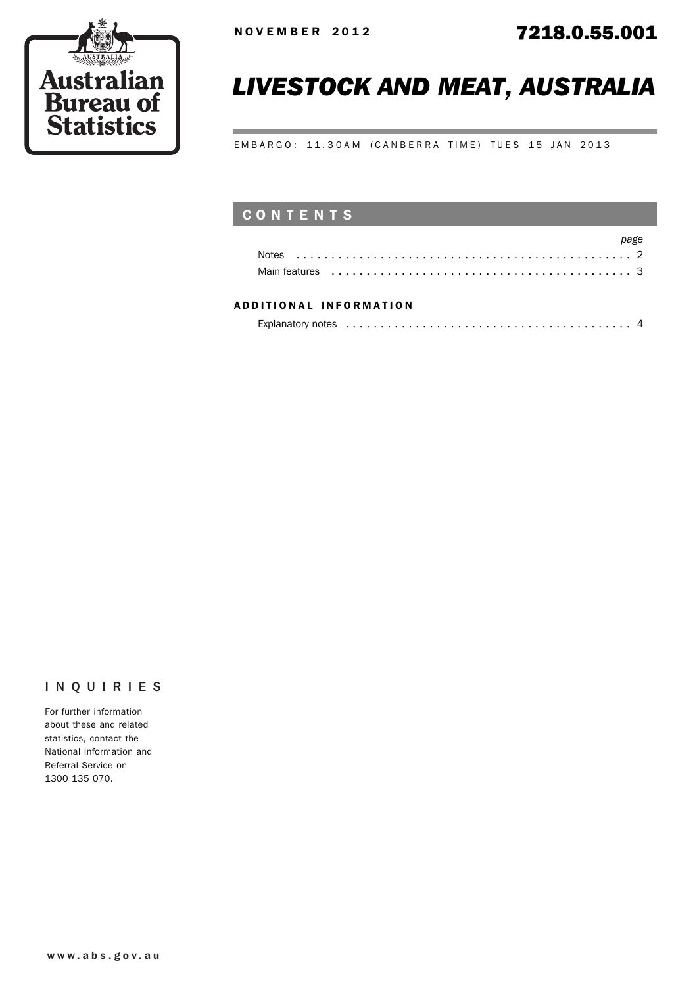

# *LIVESTOCK AND MEAT, AUSTRALIA*

EMBARGO: 11.30AM (CANBERRA TIME) TUES 15 JAN 2013

## CONTENTS

|                                                                                                                                                                                                                                | page |
|--------------------------------------------------------------------------------------------------------------------------------------------------------------------------------------------------------------------------------|------|
|                                                                                                                                                                                                                                |      |
| Main features experience in the contract of the contract of the contract of the contract of the contract of the contract of the contract of the contract of the contract of the contract of the contract of the contract of th |      |

### ADD ITIONAL INFORMATION

| Explanatory notes experience in the contract of the contract of the contract of the contract of the contract of the contract of the contract of the contract of the contract of the contract of the contract of the contract o |  |
|--------------------------------------------------------------------------------------------------------------------------------------------------------------------------------------------------------------------------------|--|
|                                                                                                                                                                                                                                |  |

### INQUIRIES

For further information about these and related statistics, contact the National Information and Referral Service on 1300 135 070.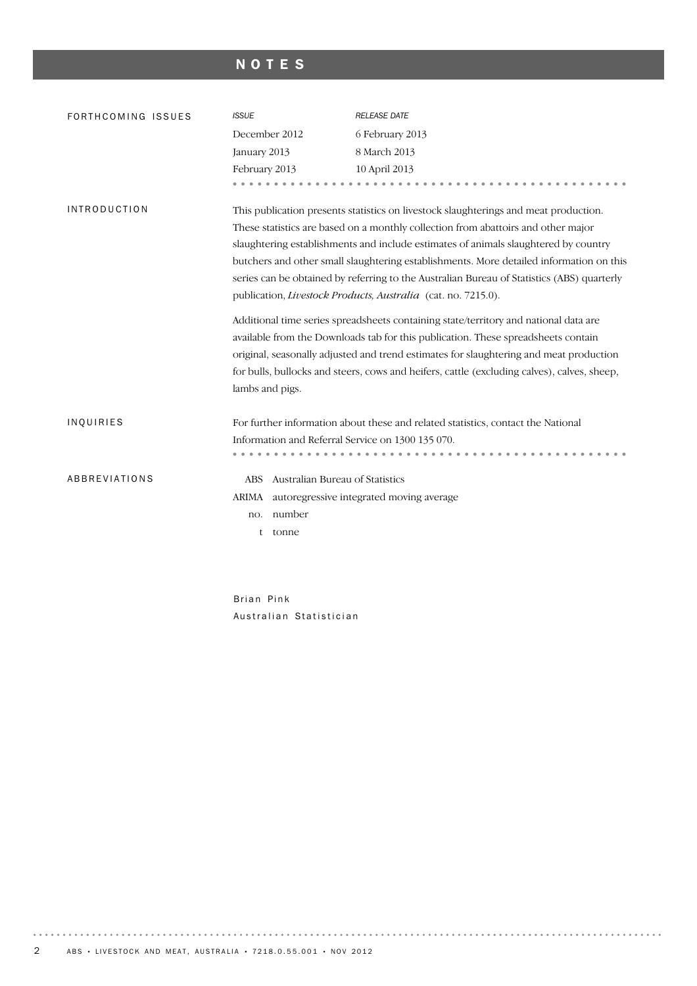## NOTES

| FORTHCOMING ISSUES  | <b>ISSUE</b>                                      | <b>RELEASE DATE</b>                                                                                                                                                                                                                                                                                                                                                                                                                                                                                                                                                                                                                                                                                     |
|---------------------|---------------------------------------------------|---------------------------------------------------------------------------------------------------------------------------------------------------------------------------------------------------------------------------------------------------------------------------------------------------------------------------------------------------------------------------------------------------------------------------------------------------------------------------------------------------------------------------------------------------------------------------------------------------------------------------------------------------------------------------------------------------------|
|                     | December 2012                                     | 6 February 2013                                                                                                                                                                                                                                                                                                                                                                                                                                                                                                                                                                                                                                                                                         |
|                     | January 2013                                      | 8 March 2013                                                                                                                                                                                                                                                                                                                                                                                                                                                                                                                                                                                                                                                                                            |
|                     | February 2013                                     | 10 April 2013                                                                                                                                                                                                                                                                                                                                                                                                                                                                                                                                                                                                                                                                                           |
|                     |                                                   |                                                                                                                                                                                                                                                                                                                                                                                                                                                                                                                                                                                                                                                                                                         |
| <b>INTRODUCTION</b> |                                                   | This publication presents statistics on livestock slaughterings and meat production.<br>These statistics are based on a monthly collection from abattoirs and other major<br>slaughtering establishments and include estimates of animals slaughtered by country<br>butchers and other small slaughtering establishments. More detailed information on this<br>series can be obtained by referring to the Australian Bureau of Statistics (ABS) quarterly<br>publication, Livestock Products, Australia (cat. no. 7215.0).<br>Additional time series spreadsheets containing state/territory and national data are<br>available from the Downloads tab for this publication. These spreadsheets contain |
|                     |                                                   | original, seasonally adjusted and trend estimates for slaughtering and meat production                                                                                                                                                                                                                                                                                                                                                                                                                                                                                                                                                                                                                  |
|                     |                                                   | for bulls, bullocks and steers, cows and heifers, cattle (excluding calves), calves, sheep,                                                                                                                                                                                                                                                                                                                                                                                                                                                                                                                                                                                                             |
|                     | lambs and pigs.                                   |                                                                                                                                                                                                                                                                                                                                                                                                                                                                                                                                                                                                                                                                                                         |
| INQUIRIES           | Information and Referral Service on 1300 135 070. | For further information about these and related statistics, contact the National                                                                                                                                                                                                                                                                                                                                                                                                                                                                                                                                                                                                                        |
| ABBREVIATIONS       | Australian Bureau of Statistics<br><b>ABS</b>     |                                                                                                                                                                                                                                                                                                                                                                                                                                                                                                                                                                                                                                                                                                         |
|                     | ARIMA autoregressive integrated moving average    |                                                                                                                                                                                                                                                                                                                                                                                                                                                                                                                                                                                                                                                                                                         |
|                     | number<br>no.                                     |                                                                                                                                                                                                                                                                                                                                                                                                                                                                                                                                                                                                                                                                                                         |
|                     | tonne<br>t                                        |                                                                                                                                                                                                                                                                                                                                                                                                                                                                                                                                                                                                                                                                                                         |
|                     |                                                   |                                                                                                                                                                                                                                                                                                                                                                                                                                                                                                                                                                                                                                                                                                         |

Brian Pink Australian Statistician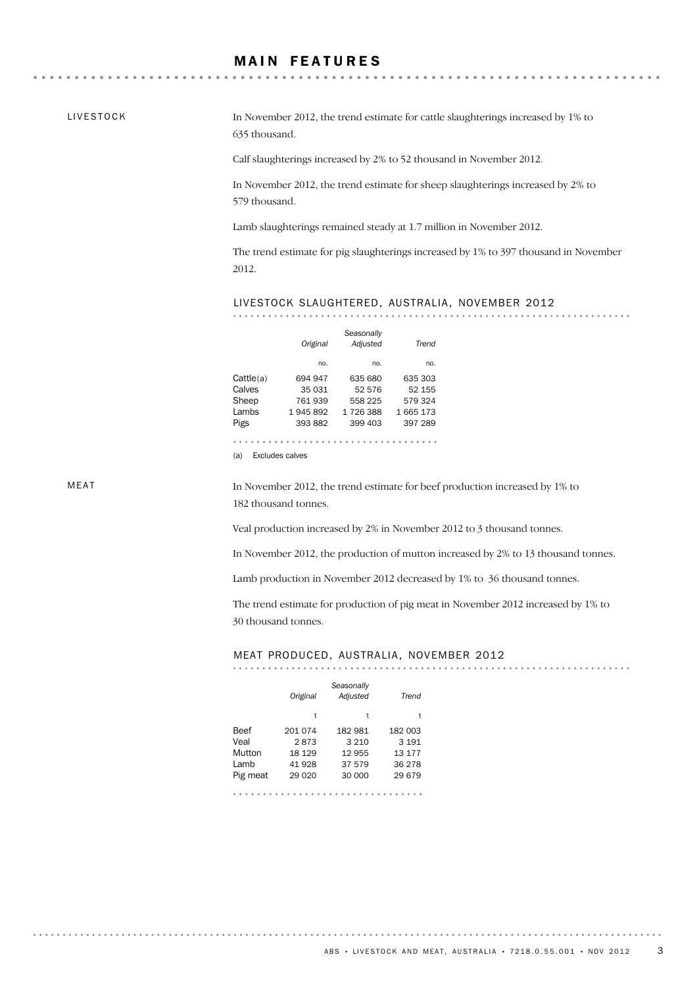## **MAIN FEATURES**

LIVESTOCK

. . . . . . . . . .

In November 2012, the trend estimate for cattle slaughterings increased by 1% to 635 thousand.

Calf slaughterings increased by 2% to 52 thousand in November 2012.

In November 2012, the trend estimate for sheep slaughterings increased by 2% to 579 thousand.

Lamb slaughterings remained steady at 1.7 million in November 2012.

The trend estimate for pig slaughterings increased by 1% to 397 thousand in November 2012.

#### LIVESTOCK SLAUGHTERED, AUSTRALIA, NOVEMBER 2012

*Seasonally*

|           | Original | <u>ocusonumy</u><br>Adjusted | Trend   |
|-----------|----------|------------------------------|---------|
|           | no.      | no.                          | no.     |
| Cattle(a) | 694 947  | 635 680                      | 635 303 |
| Calves    | 35 031   | 52 576                       | 52 155  |
| Sheep     | 761939   | 558 225                      | 579 324 |
| Lambs     | 1945892  | 1726388                      | 1665173 |
| Pigs      | 393 882  | 399 403                      | 397 289 |
|           |          |                              |         |
|           |          |                              |         |

(a) Excludes calves

MEAT

. . . . . . . . . .

In November 2012, the trend estimate for beef production increased by 1% to 182 thousand tonnes.

Veal production increased by 2% in November 2012 to 3 thousand tonnes.

In November 2012, the production of mutton increased by 2% to 13 thousand tonnes.

Lamb production in November 2012 decreased by 1% to 36 thousand tonnes.

The trend estimate for production of pig meat in November 2012 increased by 1% to 30 thousand tonnes.

#### MEAT PRODUCED, AUSTRALIA, NOVEMBER 2012

|          | Original | Seasonally<br>Adjusted | Trend   |
|----------|----------|------------------------|---------|
|          | t        | t                      | t       |
| Beef     | 201 074  | 182 981                | 182 003 |
| Veal     | 2873     | 3 2 1 0                | 3 1 9 1 |
| Mutton   | 18 129   | 12 955                 | 13 177  |
| Lamb     | 41928    | 37 579                 | 36 278  |
| Pig meat | 29 0 20  | 30 000                 | 29 679  |
|          |          |                        |         |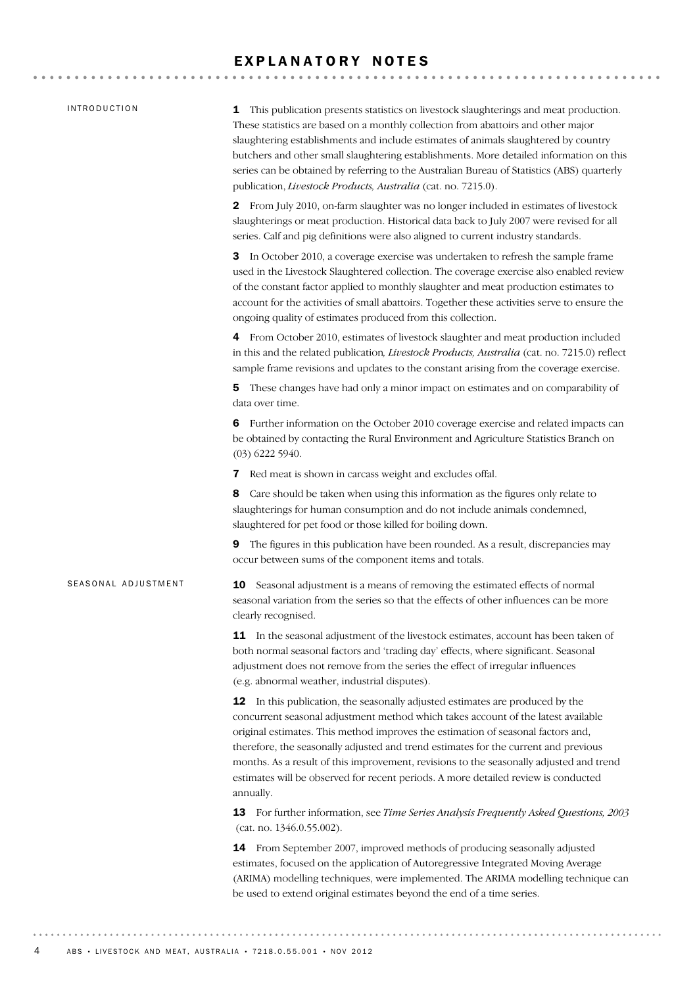#### EXPLANATORY NOTES

#### INTRODUCTION

SEASONAL ADJUSTMENT

1 This publication presents statistics on livestock slaughterings and meat production. These statistics are based on a monthly collection from abattoirs and other major slaughtering establishments and include estimates of animals slaughtered by country butchers and other small slaughtering establishments. More detailed information on this series can be obtained by referring to the Australian Bureau of Statistics (ABS) quarterly publication, *Livestock Products, Australia* (cat. no. 7215.0).

2 From July 2010, on-farm slaughter was no longer included in estimates of livestock slaughterings or meat production. Historical data back to July 2007 were revised for all series. Calf and pig definitions were also aligned to current industry standards.

3 In October 2010, a coverage exercise was undertaken to refresh the sample frame used in the Livestock Slaughtered collection. The coverage exercise also enabled review of the constant factor applied to monthly slaughter and meat production estimates to account for the activities of small abattoirs. Together these activities serve to ensure the ongoing quality of estimates produced from this collection.

4 From October 2010, estimates of livestock slaughter and meat production included in this and the related publication*, Livestock Products, Australia* (cat. no. 7215.0) reflect sample frame revisions and updates to the constant arising from the coverage exercise.

5 These changes have had only a minor impact on estimates and on comparability of data over time.

6 Further information on the October 2010 coverage exercise and related impacts can be obtained by contacting the Rural Environment and Agriculture Statistics Branch on (03) 6222 5940.

7 Red meat is shown in carcass weight and excludes offal.

8 Care should be taken when using this information as the figures only relate to slaughterings for human consumption and do not include animals condemned, slaughtered for pet food or those killed for boiling down.

9 The figures in this publication have been rounded. As a result, discrepancies may occur between sums of the component items and totals.

**10** Seasonal adjustment is a means of removing the estimated effects of normal seasonal variation from the series so that the effects of other influences can be more clearly recognised.

**11** In the seasonal adjustment of the livestock estimates, account has been taken of both normal seasonal factors and 'trading day' effects, where significant. Seasonal adjustment does not remove from the series the effect of irregular influences (e.g. abnormal weather, industrial disputes).

12 In this publication, the seasonally adjusted estimates are produced by the concurrent seasonal adjustment method which takes account of the latest available original estimates. This method improves the estimation of seasonal factors and, therefore, the seasonally adjusted and trend estimates for the current and previous months. As a result of this improvement, revisions to the seasonally adjusted and trend estimates will be observed for recent periods. A more detailed review is conducted annually.

13 For further information, see *Time Series Analysis Frequently Asked Questions, 2003* (cat. no. 1346.0.55.002).

14 From September 2007, improved methods of producing seasonally adjusted estimates, focused on the application of Autoregressive Integrated Moving Average (ARIMA) modelling techniques, were implemented. The ARIMA modelling technique can be used to extend original estimates beyond the end of a time series.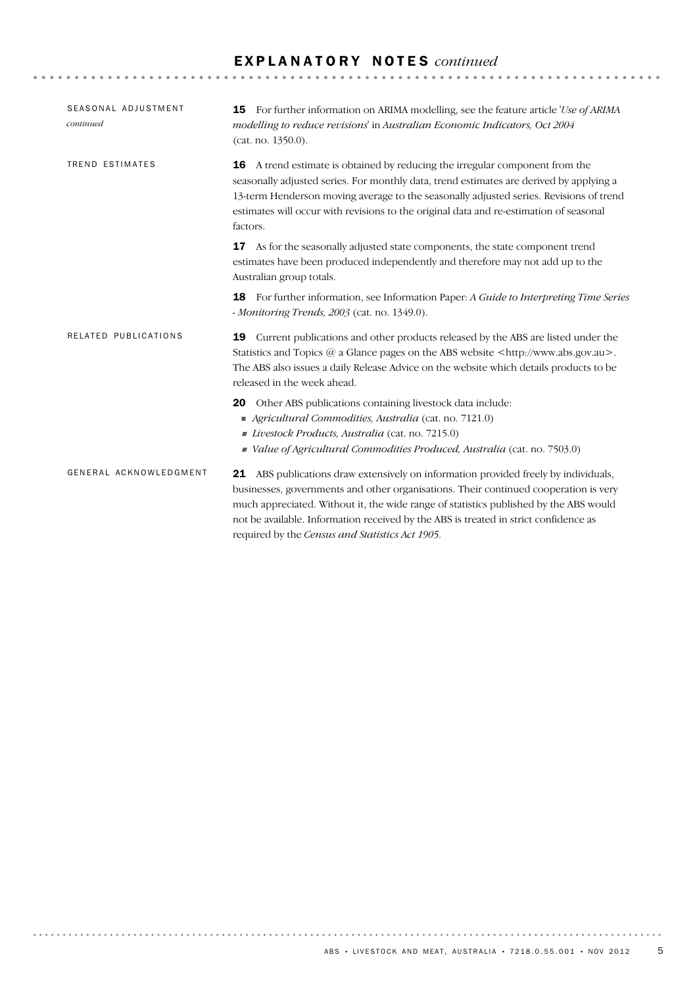## E X P L A N A T O R Y N O T E S *continued*

| SEASONAL ADJUSTMENT<br>continued | <b>15</b> For further information on ARIMA modelling, see the feature article 'Use of ARIMA<br>modelling to reduce revisions' in Australian Economic Indicators, Oct 2004<br>(cat. no. 1350.0).                                                                                                                                                                                                                 |
|----------------------------------|-----------------------------------------------------------------------------------------------------------------------------------------------------------------------------------------------------------------------------------------------------------------------------------------------------------------------------------------------------------------------------------------------------------------|
| TREND ESTIMATES                  | A trend estimate is obtained by reducing the irregular component from the<br>16<br>seasonally adjusted series. For monthly data, trend estimates are derived by applying a<br>13-term Henderson moving average to the seasonally adjusted series. Revisions of trend<br>estimates will occur with revisions to the original data and re-estimation of seasonal<br>factors.                                      |
|                                  | As for the seasonally adjusted state components, the state component trend<br>17<br>estimates have been produced independently and therefore may not add up to the<br>Australian group totals.                                                                                                                                                                                                                  |
|                                  | For further information, see Information Paper: A Guide to Interpreting Time Series<br>18<br>- Monitoring Trends, 2003 (cat. no. 1349.0).                                                                                                                                                                                                                                                                       |
| RELATED PUBLICATIONS             | Current publications and other products released by the ABS are listed under the<br>19<br>Statistics and Topics @ a Glance pages on the ABS website <http: www.abs.gov.au="">.<br/>The ABS also issues a daily Release Advice on the website which details products to be<br/>released in the week ahead.</http:>                                                                                               |
|                                  | Other ABS publications containing livestock data include:<br>20<br>Agricultural Commodities, Australia (cat. no. 7121.0)<br>Livestock Products, Australia (cat. no. 7215.0)<br>Value of Agricultural Commodities Produced, Australia (cat. no. 7503.0)                                                                                                                                                          |
| GENERAL ACKNOWLEDGMENT           | 21 ABS publications draw extensively on information provided freely by individuals,<br>businesses, governments and other organisations. Their continued cooperation is very<br>much appreciated. Without it, the wide range of statistics published by the ABS would<br>not be available. Information received by the ABS is treated in strict confidence as<br>required by the Census and Statistics Act 1905. |